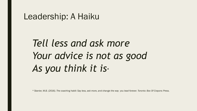#### Leadership: A Haiku

# *Tell less and ask more Your advice is not as good As you think it is\**

*\* Stanier, M.B. (2016). The coaching habit: Say less, ask more, and change the way you lead forever. Toronto: Box Of Crayons Press.*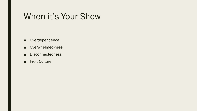#### When it's Your Show

- Overdependence
- Overwhelmed-ness
- Disconnectedness
- Fix-it Culture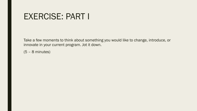#### EXERCISE: PART I

Take a few moments to think about something you would like to change, introduce, or innovate in your current program. Jot it down.

(5 – 8 minutes)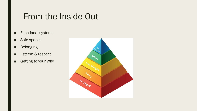#### From the Inside Out

#### ■ Functional systems

- Safe spaces
- Belonging
- Esteem & respect
- Getting to your Why

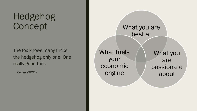# Hedgehog Concept

The fox knows many tricks; the hedgehog only one. One really good trick.

Collins (2001)

What you are best at What you are passionate about What fuels your economic engine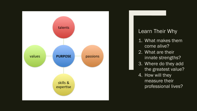

#### Learn Their Why

- 1. What makes them come alive?
- 2. What are their innate strengths?
- 3. Where do they add the greatest value?
- 4. How will they measure their professional lives?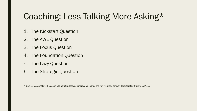# Coaching: Less Talking More Asking\*

- 1. The Kickstart Question
- 2. The AWE Question
- 3. The Focus Question
- 4. The Foundation Question
- 5. The Lazy Question
- 6. The Strategic Question

\* Stanier, M.B. (2016). The coaching habit: Say less, ask more, and change the way you lead forever. Toronto: Box Of Crayons Press.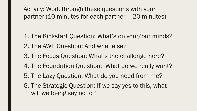Activity: Work through these questions with your partner (10 minutes for each partner – 20 minutes)

- 1. The Kickstart Question: What's on your/our minds? 2. The AWE Question: And what else?
- 3. The Focus Question: What's the challenge here?
- 4. The Foundation Question: What do we really want?
- 5. The Lazy Question: What do you need from me?
- 6. The Strategic Question: If we say yes to this, what will we being say no to?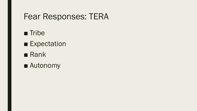#### Fear Responses: TERA

- Tribe
- Expectation
- Rank
- Autonomy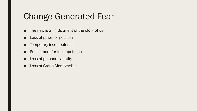### Change Generated Fear

- $\blacksquare$  The new is an indictment of the old of us
- Loss of power or position
- Temporary incompetence
- Punishment for incompetence
- Loss of personal identity
- Loss of Group Membership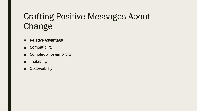# Crafting Positive Messages About Change

- Relative Advantage
- Compatibility
- Complexity (or simplicity)
- Trialability
- Observability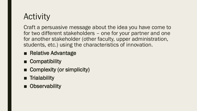# **Activity**

Craft a persuasive message about the idea you have come to for two different stakeholders – one for your partner and one for another stakeholder (other faculty, upper administration, students, etc.) using the characteristics of innovation.

- Relative Advantage
- Compatibility
- Complexity (or simplicity)
- Trialability
- Observability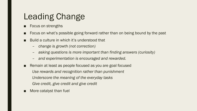### Leading Change

- Focus on strengths
- Focus on what's possible going forward rather than on being bound by the past
- Build a culture in which it's understood that
	- *change is growth (not correction)*
	- *asking questions is more important than finding answers (curiosity)*
	- *and experimentation is encouraged and rewarded.*
- Remain at least as people focused as you are goal focused *Use rewards and recognition rather than punishment Underscore the meaning of the everyday tasks Give credit, give credit and give credit*
- More catalyst than fuel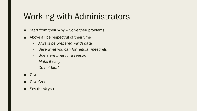# Working with Administrators

- Start from their Why Solve their problems
- Above all be respectful of their time
	- *Always be prepared –with data*
	- *Save what you can for regular meetings*
	- *Briefs are brief for a reason*
	- *Make it easy*
	- *Do not bluff*
- Give
- Give Credit
- Say thank you